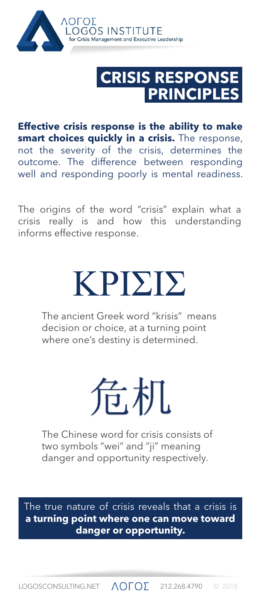

## **PRINCIPLES CRISIS RESPONSE**

**Effective crisis response is the ability to make smart choices quickly in a crisis.** The response, not the severity of the crisis, determines the outcome. The difference between responding well and responding poorly is mental readiness.

The origins of the word "crisis" explain what a crisis really is and how this understanding informs effective response.

## KPIΣIΣ

The ancient Greek word "krisis" means decision or choice, at a turning point where one's destiny is determined.



The Chinese word for crisis consists of two symbols "wei" and "ji" meaning danger and opportunity respectively.

The true nature of crisis reveals that a crisis is **a turning point where one can move toward danger or opportunity.**